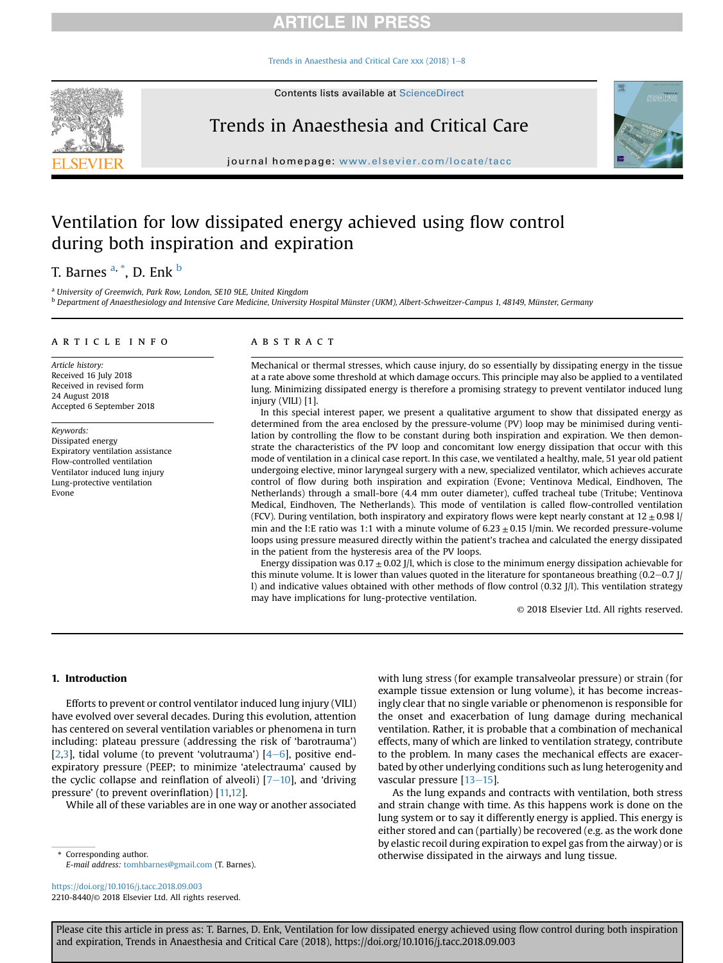Trends in Anaesthesia and Critical Care xxx (201[8](https://doi.org/10.1016/j.tacc.2018.09.003))  $1-8$ 

Contents lists available at ScienceDirect

Trends in Anaesthesia and Critical Care



journal homepage: [www.elsevier.com/locate/tacc](http://www.elsevier.com/locate/tacc)

# Ventilation for low dissipated energy achieved using flow control during both inspiration and expiration

### T. Barnes <sup>a, \*</sup>, D. Enk <sup>b</sup>

<sup>a</sup> University of Greenwich, Park Row, London, SE10 9LE, United Kingdom <sup>b</sup> Department of Anaesthesiology and Intensive Care Medicine, University Hospital Münster (UKM), Albert-Schweitzer-Campus 1, 48149, Münster, Germany

#### article info

Article history: Received 16 July 2018 Received in revised form 24 August 2018 Accepted 6 September 2018

Keywords: Dissipated energy Expiratory ventilation assistance Flow-controlled ventilation Ventilator induced lung injury Lung-protective ventilation Evone

#### **ABSTRACT**

Mechanical or thermal stresses, which cause injury, do so essentially by dissipating energy in the tissue at a rate above some threshold at which damage occurs. This principle may also be applied to a ventilated lung. Minimizing dissipated energy is therefore a promising strategy to prevent ventilator induced lung injury (VILI) [1].

In this special interest paper, we present a qualitative argument to show that dissipated energy as determined from the area enclosed by the pressure-volume (PV) loop may be minimised during ventilation by controlling the flow to be constant during both inspiration and expiration. We then demonstrate the characteristics of the PV loop and concomitant low energy dissipation that occur with this mode of ventilation in a clinical case report. In this case, we ventilated a healthy, male, 51 year old patient undergoing elective, minor laryngeal surgery with a new, specialized ventilator, which achieves accurate control of flow during both inspiration and expiration (Evone; Ventinova Medical, Eindhoven, The Netherlands) through a small-bore (4.4 mm outer diameter), cuffed tracheal tube (Tritube; Ventinova Medical, Eindhoven, The Netherlands). This mode of ventilation is called flow-controlled ventilation (FCV). During ventilation, both inspiratory and expiratory flows were kept nearly constant at  $12 \pm 0.98$  l/ min and the I:E ratio was 1:1 with a minute volume of  $6.23 \pm 0.15$  l/min. We recorded pressure-volume loops using pressure measured directly within the patient's trachea and calculated the energy dissipated in the patient from the hysteresis area of the PV loops.

Energy dissipation was  $0.17 \pm 0.02$  J/l, which is close to the minimum energy dissipation achievable for this minute volume. It is lower than values quoted in the literature for spontaneous breathing  $(0.2-0.7$  ]/ l) and indicative values obtained with other methods of flow control (0.32 J/l). This ventilation strategy may have implications for lung-protective ventilation.

© 2018 Elsevier Ltd. All rights reserved.

#### 1. Introduction

Efforts to prevent or control ventilator induced lung injury (VILI) have evolved over several decades. During this evolution, attention has centered on several ventilation variables or phenomena in turn including: plateau pressure (addressing the risk of 'barotrauma') [\[2,3\]](#page-7-0), tidal volume (to prevent 'volutrauma')  $[4-6]$  $[4-6]$  $[4-6]$  $[4-6]$ , positive endexpiratory pressure (PEEP; to minimize 'atelectrauma' caused by the cyclic collapse and reinflation of alveoli)  $[7-10]$  $[7-10]$  $[7-10]$  $[7-10]$  $[7-10]$ , and 'driving pressure' (to prevent overinflation) [[11,12](#page-7-0)].

While all of these variables are in one way or another associated

E-mail address: [tomhbarnes@gmail.com](mailto:tomhbarnes@gmail.com) (T. Barnes).

<https://doi.org/10.1016/j.tacc.2018.09.003> 2210-8440/© 2018 Elsevier Ltd. All rights reserved. with lung stress (for example transalveolar pressure) or strain (for example tissue extension or lung volume), it has become increasingly clear that no single variable or phenomenon is responsible for the onset and exacerbation of lung damage during mechanical ventilation. Rather, it is probable that a combination of mechanical effects, many of which are linked to ventilation strategy, contribute to the problem. In many cases the mechanical effects are exacerbated by other underlying conditions such as lung heterogenity and vascular pressure  $[13-15]$  $[13-15]$  $[13-15]$  $[13-15]$  $[13-15]$ .

As the lung expands and contracts with ventilation, both stress and strain change with time. As this happens work is done on the lung system or to say it differently energy is applied. This energy is either stored and can (partially) be recovered (e.g. as the work done by elastic recoil during expiration to expel gas from the airway) or is Corresponding author. The corresponding author. The airways and lung tissue.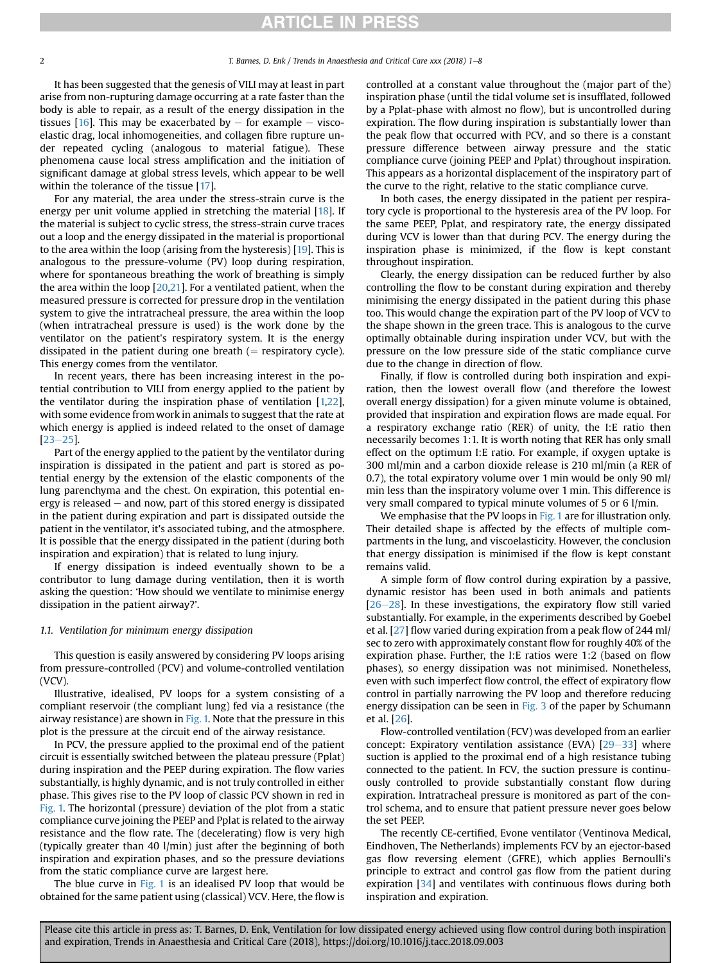It has been suggested that the genesis of VILI may at least in part arise from non-rupturing damage occurring at a rate faster than the body is able to repair, as a result of the energy dissipation in the tissues [[16](#page-7-0)]. This may be exacerbated by  $-$  for example  $-$  viscoelastic drag, local inhomogeneities, and collagen fibre rupture under repeated cycling (analogous to material fatigue). These phenomena cause local stress amplification and the initiation of significant damage at global stress levels, which appear to be well within the tolerance of the tissue [[17](#page-7-0)].

For any material, the area under the stress-strain curve is the energy per unit volume applied in stretching the material [\[18\]](#page-7-0). If the material is subject to cyclic stress, the stress-strain curve traces out a loop and the energy dissipated in the material is proportional to the area within the loop (arising from the hysteresis) [\[19](#page-7-0)]. This is analogous to the pressure-volume (PV) loop during respiration, where for spontaneous breathing the work of breathing is simply the area within the loop [[20,21](#page-7-0)]. For a ventilated patient, when the measured pressure is corrected for pressure drop in the ventilation system to give the intratracheal pressure, the area within the loop (when intratracheal pressure is used) is the work done by the ventilator on the patient's respiratory system. It is the energy dissipated in the patient during one breath  $($  = respiratory cycle). This energy comes from the ventilator.

In recent years, there has been increasing interest in the potential contribution to VILI from energy applied to the patient by the ventilator during the inspiration phase of ventilation [[1,22](#page-7-0)], with some evidence from work in animals to suggest that the rate at which energy is applied is indeed related to the onset of damage  $[23 - 25]$  $[23 - 25]$  $[23 - 25]$  $[23 - 25]$ .

Part of the energy applied to the patient by the ventilator during inspiration is dissipated in the patient and part is stored as potential energy by the extension of the elastic components of the lung parenchyma and the chest. On expiration, this potential energy is released  $-$  and now, part of this stored energy is dissipated in the patient during expiration and part is dissipated outside the patient in the ventilator, it's associated tubing, and the atmosphere. It is possible that the energy dissipated in the patient (during both inspiration and expiration) that is related to lung injury.

If energy dissipation is indeed eventually shown to be a contributor to lung damage during ventilation, then it is worth asking the question: 'How should we ventilate to minimise energy dissipation in the patient airway?'.

#### 1.1. Ventilation for minimum energy dissipation

This question is easily answered by considering PV loops arising from pressure-controlled (PCV) and volume-controlled ventilation (VCV).

Illustrative, idealised, PV loops for a system consisting of a compliant reservoir (the compliant lung) fed via a resistance (the airway resistance) are shown in [Fig. 1.](#page-2-0) Note that the pressure in this plot is the pressure at the circuit end of the airway resistance.

In PCV, the pressure applied to the proximal end of the patient circuit is essentially switched between the plateau pressure (Pplat) during inspiration and the PEEP during expiration. The flow varies substantially, is highly dynamic, and is not truly controlled in either phase. This gives rise to the PV loop of classic PCV shown in red in [Fig. 1.](#page-2-0) The horizontal (pressure) deviation of the plot from a static compliance curve joining the PEEP and Pplat is related to the airway resistance and the flow rate. The (decelerating) flow is very high (typically greater than 40 l/min) just after the beginning of both inspiration and expiration phases, and so the pressure deviations from the static compliance curve are largest here.

The blue curve in [Fig. 1](#page-2-0) is an idealised PV loop that would be obtained for the same patient using (classical) VCV. Here, the flow is controlled at a constant value throughout the (major part of the) inspiration phase (until the tidal volume set is insufflated, followed by a Pplat-phase with almost no flow), but is uncontrolled during expiration. The flow during inspiration is substantially lower than the peak flow that occurred with PCV, and so there is a constant pressure difference between airway pressure and the static compliance curve (joining PEEP and Pplat) throughout inspiration. This appears as a horizontal displacement of the inspiratory part of the curve to the right, relative to the static compliance curve.

In both cases, the energy dissipated in the patient per respiratory cycle is proportional to the hysteresis area of the PV loop. For the same PEEP, Pplat, and respiratory rate, the energy dissipated during VCV is lower than that during PCV. The energy during the inspiration phase is minimized, if the flow is kept constant throughout inspiration.

Clearly, the energy dissipation can be reduced further by also controlling the flow to be constant during expiration and thereby minimising the energy dissipated in the patient during this phase too. This would change the expiration part of the PV loop of VCV to the shape shown in the green trace. This is analogous to the curve optimally obtainable during inspiration under VCV, but with the pressure on the low pressure side of the static compliance curve due to the change in direction of flow.

Finally, if flow is controlled during both inspiration and expiration, then the lowest overall flow (and therefore the lowest overall energy dissipation) for a given minute volume is obtained, provided that inspiration and expiration flows are made equal. For a respiratory exchange ratio (RER) of unity, the I:E ratio then necessarily becomes 1:1. It is worth noting that RER has only small effect on the optimum I:E ratio. For example, if oxygen uptake is 300 ml/min and a carbon dioxide release is 210 ml/min (a RER of 0.7), the total expiratory volume over 1 min would be only 90 ml/ min less than the inspiratory volume over 1 min. This difference is very small compared to typical minute volumes of 5 or 6 l/min.

We emphasise that the PV loops in [Fig. 1](#page-2-0) are for illustration only. Their detailed shape is affected by the effects of multiple compartments in the lung, and viscoelasticity. However, the conclusion that energy dissipation is minimised if the flow is kept constant remains valid.

A simple form of flow control during expiration by a passive, dynamic resistor has been used in both animals and patients  $[26-28]$  $[26-28]$  $[26-28]$  $[26-28]$ . In these investigations, the expiratory flow still varied substantially. For example, in the experiments described by Goebel et al. [\[27\]](#page-7-0) flow varied during expiration from a peak flow of 244 ml/ sec to zero with approximately constant flow for roughly 40% of the expiration phase. Further, the I:E ratios were 1:2 (based on flow phases), so energy dissipation was not minimised. Nonetheless, even with such imperfect flow control, the effect of expiratory flow control in partially narrowing the PV loop and therefore reducing energy dissipation can be seen in [Fig. 3](#page-4-0) of the paper by Schumann et al. [[26](#page-7-0)].

Flow-controlled ventilation (FCV) was developed from an earlier concept: Expiratory ventilation assistance (EVA)  $[29-33]$  $[29-33]$  $[29-33]$  $[29-33]$  where suction is applied to the proximal end of a high resistance tubing connected to the patient. In FCV, the suction pressure is continuously controlled to provide substantially constant flow during expiration. Intratracheal pressure is monitored as part of the control schema, and to ensure that patient pressure never goes below the set PEEP.

The recently CE-certified, Evone ventilator (Ventinova Medical, Eindhoven, The Netherlands) implements FCV by an ejector-based gas flow reversing element (GFRE), which applies Bernoulli's principle to extract and control gas flow from the patient during expiration [\[34\]](#page-7-0) and ventilates with continuous flows during both inspiration and expiration.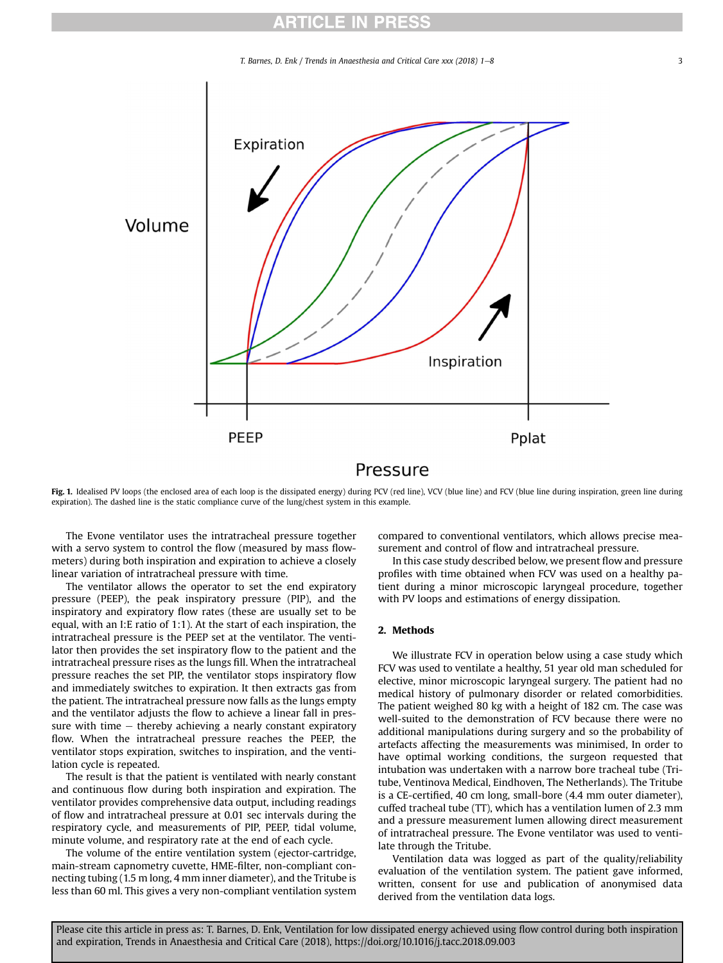T. Barnes, D. Enk / Trends in Anaesthesia and Critical Care xxx (2018) 1-8 3 3

<span id="page-2-0"></span>

Fig. 1. Idealised PV loops (the enclosed area of each loop is the dissipated energy) during PCV (red line), VCV (blue line) and FCV (blue line during inspiration, green line during expiration). The dashed line is the static compliance curve of the lung/chest system in this example.

The Evone ventilator uses the intratracheal pressure together with a servo system to control the flow (measured by mass flowmeters) during both inspiration and expiration to achieve a closely linear variation of intratracheal pressure with time.

The ventilator allows the operator to set the end expiratory pressure (PEEP), the peak inspiratory pressure (PIP), and the inspiratory and expiratory flow rates (these are usually set to be equal, with an I:E ratio of 1:1). At the start of each inspiration, the intratracheal pressure is the PEEP set at the ventilator. The ventilator then provides the set inspiratory flow to the patient and the intratracheal pressure rises as the lungs fill. When the intratracheal pressure reaches the set PIP, the ventilator stops inspiratory flow and immediately switches to expiration. It then extracts gas from the patient. The intratracheal pressure now falls as the lungs empty and the ventilator adjusts the flow to achieve a linear fall in pressure with time  $-$  thereby achieving a nearly constant expiratory flow. When the intratracheal pressure reaches the PEEP, the ventilator stops expiration, switches to inspiration, and the ventilation cycle is repeated.

The result is that the patient is ventilated with nearly constant and continuous flow during both inspiration and expiration. The ventilator provides comprehensive data output, including readings of flow and intratracheal pressure at 0.01 sec intervals during the respiratory cycle, and measurements of PIP, PEEP, tidal volume, minute volume, and respiratory rate at the end of each cycle.

The volume of the entire ventilation system (ejector-cartridge, main-stream capnometry cuvette, HME-filter, non-compliant connecting tubing (1.5 m long, 4 mm inner diameter), and the Tritube is less than 60 ml. This gives a very non-compliant ventilation system compared to conventional ventilators, which allows precise measurement and control of flow and intratracheal pressure.

In this case study described below, we present flow and pressure profiles with time obtained when FCV was used on a healthy patient during a minor microscopic laryngeal procedure, together with PV loops and estimations of energy dissipation.

### 2. Methods

We illustrate FCV in operation below using a case study which FCV was used to ventilate a healthy, 51 year old man scheduled for elective, minor microscopic laryngeal surgery. The patient had no medical history of pulmonary disorder or related comorbidities. The patient weighed 80 kg with a height of 182 cm. The case was well-suited to the demonstration of FCV because there were no additional manipulations during surgery and so the probability of artefacts affecting the measurements was minimised, In order to have optimal working conditions, the surgeon requested that intubation was undertaken with a narrow bore tracheal tube (Tritube, Ventinova Medical, Eindhoven, The Netherlands). The Tritube is a CE-certified, 40 cm long, small-bore (4.4 mm outer diameter), cuffed tracheal tube (TT), which has a ventilation lumen of 2.3 mm and a pressure measurement lumen allowing direct measurement of intratracheal pressure. The Evone ventilator was used to ventilate through the Tritube.

Ventilation data was logged as part of the quality/reliability evaluation of the ventilation system. The patient gave informed, written, consent for use and publication of anonymised data derived from the ventilation data logs.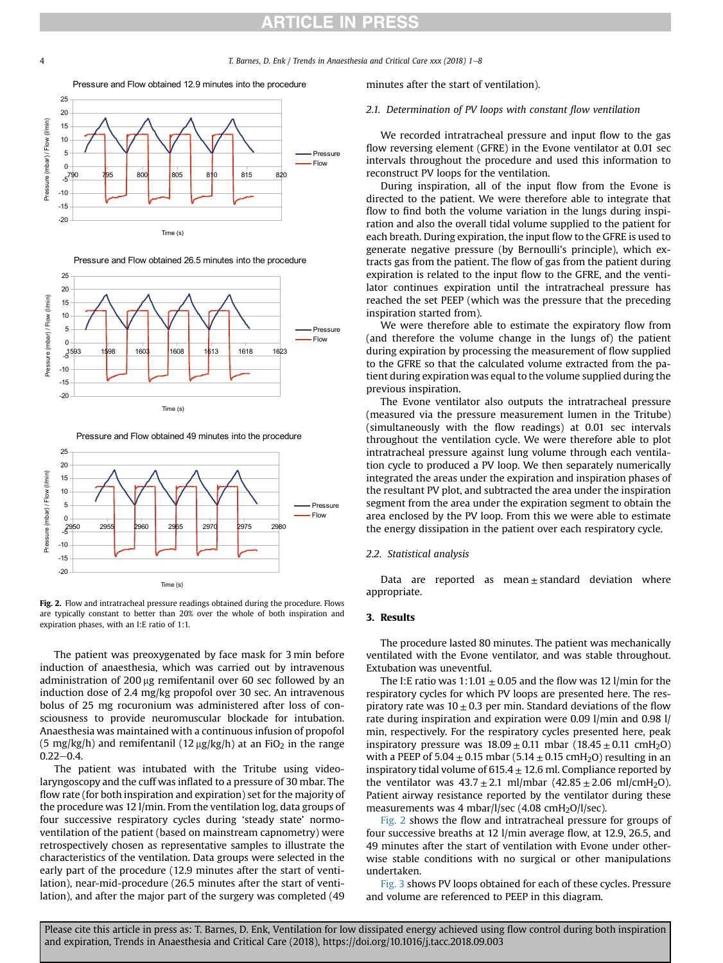4 T. Barnes, D. Enk / Trends in Anaesthesia and Critical Care xxx (2018) 1-8

Pressure and Flow obtained 12.9 minutes into the procedure







Fig. 2. Flow and intratracheal pressure readings obtained during the procedure. Flows are typically constant to better than 20% over the whole of both inspiration and expiration phases, with an I:E ratio of 1:1.

The patient was preoxygenated by face mask for 3 min before induction of anaesthesia, which was carried out by intravenous administration of  $200 \mu$ g remifentanil over 60 sec followed by an induction dose of 2.4 mg/kg propofol over 30 sec. An intravenous bolus of 25 mg rocuronium was administered after loss of consciousness to provide neuromuscular blockade for intubation. Anaesthesia was maintained with a continuous infusion of propofol (5 mg/kg/h) and remifentanil (12  $\mu$ g/kg/h) at an FiO<sub>2</sub> in the range  $0.22 - 0.4.$ 

The patient was intubated with the Tritube using videolaryngoscopy and the cuff was inflated to a pressure of 30 mbar. The flow rate (for both inspiration and expiration) set for the majority of the procedure was 12 l/min. From the ventilation log, data groups of four successive respiratory cycles during 'steady state' normoventilation of the patient (based on mainstream capnometry) were retrospectively chosen as representative samples to illustrate the characteristics of the ventilation. Data groups were selected in the early part of the procedure (12.9 minutes after the start of ventilation), near-mid-procedure (26.5 minutes after the start of ventilation), and after the major part of the surgery was completed (49 minutes after the start of ventilation).

#### 2.1. Determination of PV loops with constant flow ventilation

We recorded intratracheal pressure and input flow to the gas flow reversing element (GFRE) in the Evone ventilator at 0.01 sec intervals throughout the procedure and used this information to reconstruct PV loops for the ventilation.

During inspiration, all of the input flow from the Evone is directed to the patient. We were therefore able to integrate that flow to find both the volume variation in the lungs during inspiration and also the overall tidal volume supplied to the patient for each breath. During expiration, the input flow to the GFRE is used to generate negative pressure (by Bernoulli's principle), which extracts gas from the patient. The flow of gas from the patient during expiration is related to the input flow to the GFRE, and the ventilator continues expiration until the intratracheal pressure has reached the set PEEP (which was the pressure that the preceding inspiration started from).

We were therefore able to estimate the expiratory flow from (and therefore the volume change in the lungs of) the patient during expiration by processing the measurement of flow supplied to the GFRE so that the calculated volume extracted from the patient during expiration was equal to the volume supplied during the previous inspiration.

The Evone ventilator also outputs the intratracheal pressure (measured via the pressure measurement lumen in the Tritube) (simultaneously with the flow readings) at 0.01 sec intervals throughout the ventilation cycle. We were therefore able to plot intratracheal pressure against lung volume through each ventilation cycle to produced a PV loop. We then separately numerically integrated the areas under the expiration and inspiration phases of the resultant PV plot, and subtracted the area under the inspiration segment from the area under the expiration segment to obtain the area enclosed by the PV loop. From this we were able to estimate the energy dissipation in the patient over each respiratory cycle.

#### 2.2. Statistical analysis

Data are reported as mean $\pm$  standard deviation where appropriate.

#### 3. Results

The procedure lasted 80 minutes. The patient was mechanically ventilated with the Evone ventilator, and was stable throughout. Extubation was uneventful.

The I:E ratio was  $1:1.01 \pm 0.05$  and the flow was 12 l/min for the respiratory cycles for which PV loops are presented here. The respiratory rate was  $10 \pm 0.3$  per min. Standard deviations of the flow rate during inspiration and expiration were 0.09 l/min and 0.98 l/ min, respectively. For the respiratory cycles presented here, peak inspiratory pressure was  $18.09 \pm 0.11$  mbar ( $18.45 \pm 0.11$  cmH<sub>2</sub>O) with a PEEP of  $5.04 \pm 0.15$  mbar ( $5.14 \pm 0.15$  cmH<sub>2</sub>O) resulting in an inspiratory tidal volume of  $615.4 \pm 12.6$  ml. Compliance reported by the ventilator was  $43.7 \pm 2.1$  ml/mbar  $(42.85 \pm 2.06$  ml/cmH<sub>2</sub>O). Patient airway resistance reported by the ventilator during these measurements was 4 mbar/l/sec  $(4.08 \text{ cm}H<sub>2</sub>O/l/sec)$ .

Fig. 2 shows the flow and intratracheal pressure for groups of four successive breaths at 12 l/min average flow, at 12.9, 26.5, and 49 minutes after the start of ventilation with Evone under otherwise stable conditions with no surgical or other manipulations undertaken.

[Fig. 3](#page-4-0) shows PV loops obtained for each of these cycles. Pressure and volume are referenced to PEEP in this diagram.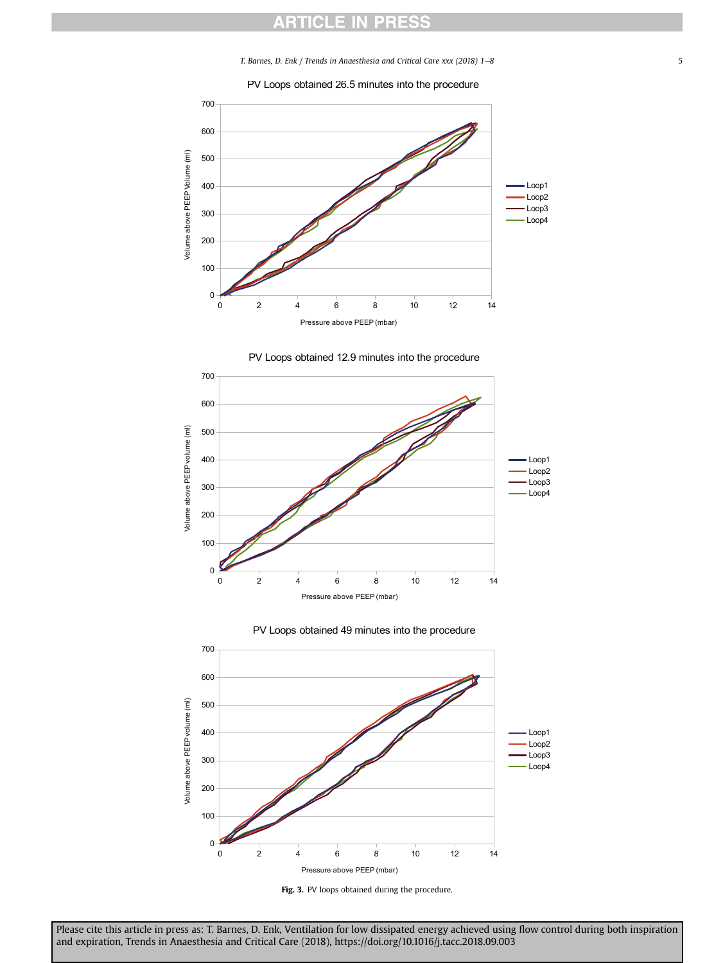T. Barnes, D. Enk / Trends in Anaesthesia and Critical Care xxx (2018) 1-8 5 5



<span id="page-4-0"></span>







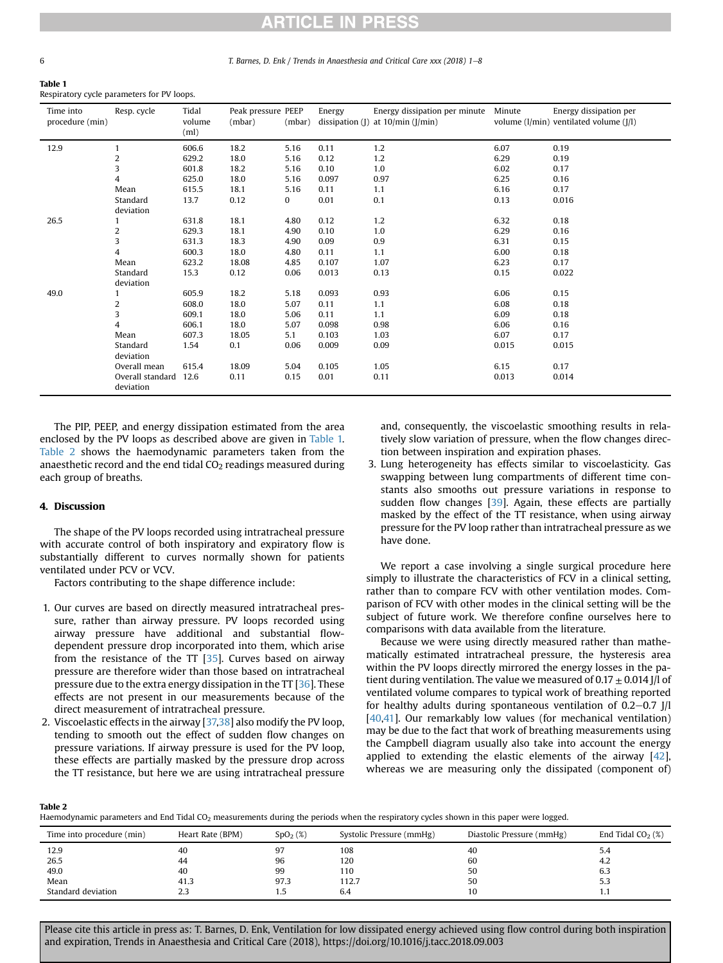6 T. Barnes, D. Enk / Trends in Anaesthesia and Critical Care xxx (2018) 1e8

#### Table 1

Respiratory cycle parameters for PV loops.

| Time into<br>procedure (min) | Resp. cycle                        | Tidal<br>volume<br>(ml) | Peak pressure PEEP<br>(mbar) | (mbar)   | Energy | Energy dissipation per minute<br>dissipation $(I)$ at $10/min (I/min)$ | Minute | Energy dissipation per<br>volume (l/min) ventilated volume (J/l) |
|------------------------------|------------------------------------|-------------------------|------------------------------|----------|--------|------------------------------------------------------------------------|--------|------------------------------------------------------------------|
| 12.9                         |                                    | 606.6                   | 18.2                         | 5.16     | 0.11   | 1.2                                                                    | 6.07   | 0.19                                                             |
|                              | 2                                  | 629.2                   | 18.0                         | 5.16     | 0.12   | 1.2                                                                    | 6.29   | 0.19                                                             |
|                              | 3                                  | 601.8                   | 18.2                         | 5.16     | 0.10   | 1.0                                                                    | 6.02   | 0.17                                                             |
|                              | 4                                  | 625.0                   | 18.0                         | 5.16     | 0.097  | 0.97                                                                   | 6.25   | 0.16                                                             |
|                              | Mean                               | 615.5                   | 18.1                         | 5.16     | 0.11   | 1.1                                                                    | 6.16   | 0.17                                                             |
|                              | Standard<br>deviation              | 13.7                    | 0.12                         | $\bf{0}$ | 0.01   | 0.1                                                                    | 0.13   | 0.016                                                            |
| 26.5                         |                                    | 631.8                   | 18.1                         | 4.80     | 0.12   | 1.2                                                                    | 6.32   | 0.18                                                             |
|                              | 2                                  | 629.3                   | 18.1                         | 4.90     | 0.10   | 1.0                                                                    | 6.29   | 0.16                                                             |
|                              | 3                                  | 631.3                   | 18.3                         | 4.90     | 0.09   | 0.9                                                                    | 6.31   | 0.15                                                             |
|                              | 4                                  | 600.3                   | 18.0                         | 4.80     | 0.11   | 1.1                                                                    | 6.00   | 0.18                                                             |
|                              | Mean                               | 623.2                   | 18.08                        | 4.85     | 0.107  | 1.07                                                                   | 6.23   | 0.17                                                             |
|                              | Standard<br>deviation              | 15.3                    | 0.12                         | 0.06     | 0.013  | 0.13                                                                   | 0.15   | 0.022                                                            |
| 49.0                         |                                    | 605.9                   | 18.2                         | 5.18     | 0.093  | 0.93                                                                   | 6.06   | 0.15                                                             |
|                              | 2                                  | 608.0                   | 18.0                         | 5.07     | 0.11   | 1.1                                                                    | 6.08   | 0.18                                                             |
|                              | 3                                  | 609.1                   | 18.0                         | 5.06     | 0.11   | 1.1                                                                    | 6.09   | 0.18                                                             |
|                              | 4                                  | 606.1                   | 18.0                         | 5.07     | 0.098  | 0.98                                                                   | 6.06   | 0.16                                                             |
|                              | Mean                               | 607.3                   | 18.05                        | 5.1      | 0.103  | 1.03                                                                   | 6.07   | 0.17                                                             |
|                              | Standard                           | 1.54                    | 0.1                          | 0.06     | 0.009  | 0.09                                                                   | 0.015  | 0.015                                                            |
|                              | deviation                          |                         |                              |          |        |                                                                        |        |                                                                  |
|                              | Overall mean                       | 615.4                   | 18.09                        | 5.04     | 0.105  | 1.05                                                                   | 6.15   | 0.17                                                             |
|                              | Overall standard 12.6<br>deviation |                         | 0.11                         | 0.15     | 0.01   | 0.11                                                                   | 0.013  | 0.014                                                            |

The PIP, PEEP, and energy dissipation estimated from the area enclosed by the PV loops as described above are given in Table 1. Table 2 shows the haemodynamic parameters taken from the anaesthetic record and the end tidal  $CO<sub>2</sub>$  readings measured during each group of breaths.

#### 4. Discussion

The shape of the PV loops recorded using intratracheal pressure with accurate control of both inspiratory and expiratory flow is substantially different to curves normally shown for patients ventilated under PCV or VCV.

Factors contributing to the shape difference include:

- 1. Our curves are based on directly measured intratracheal pressure, rather than airway pressure. PV loops recorded using airway pressure have additional and substantial flowdependent pressure drop incorporated into them, which arise from the resistance of the TT [\[35\]](#page-7-0). Curves based on airway pressure are therefore wider than those based on intratracheal pressure due to the extra energy dissipation in the TT [\[36\]](#page-7-0). These effects are not present in our measurements because of the direct measurement of intratracheal pressure.
- 2. Viscoelastic effects in the airway [[37,38\]](#page-7-0) also modify the PV loop, tending to smooth out the effect of sudden flow changes on pressure variations. If airway pressure is used for the PV loop, these effects are partially masked by the pressure drop across the TT resistance, but here we are using intratracheal pressure

and, consequently, the viscoelastic smoothing results in relatively slow variation of pressure, when the flow changes direction between inspiration and expiration phases.

3. Lung heterogeneity has effects similar to viscoelasticity. Gas swapping between lung compartments of different time constants also smooths out pressure variations in response to sudden flow changes  $[39]$  $[39]$  $[39]$ . Again, these effects are partially masked by the effect of the TT resistance, when using airway pressure for the PV loop rather than intratracheal pressure as we have done.

We report a case involving a single surgical procedure here simply to illustrate the characteristics of FCV in a clinical setting, rather than to compare FCV with other ventilation modes. Comparison of FCV with other modes in the clinical setting will be the subject of future work. We therefore confine ourselves here to comparisons with data available from the literature.

Because we were using directly measured rather than mathematically estimated intratracheal pressure, the hysteresis area within the PV loops directly mirrored the energy losses in the patient during ventilation. The value we measured of  $0.17 \pm 0.014$  J/l of ventilated volume compares to typical work of breathing reported for healthy adults during spontaneous ventilation of  $0.2-0.7$  [/l] [[40,41](#page-7-0)]. Our remarkably low values (for mechanical ventilation) may be due to the fact that work of breathing measurements using the Campbell diagram usually also take into account the energy applied to extending the elastic elements of the airway  $[42]$  $[42]$  $[42]$ , whereas we are measuring only the dissipated (component of)

Table 2

Haemodynamic parameters and End Tidal CO<sub>2</sub> measurements during the periods when the respiratory cycles shown in this paper were logged.

| Time into procedure (min) | Heart Rate (BPM) | SpO <sub>2</sub> (%) | Systolic Pressure (mmHg) | Diastolic Pressure (mmHg) | End Tidal $CO2(%)$ |
|---------------------------|------------------|----------------------|--------------------------|---------------------------|--------------------|
| 12.9                      | 40               | 97                   | 108                      | 40                        | 5.4                |
| 26.5                      | 44               | 96                   | 120                      | 60                        | 4.2                |
| 49.0                      | 40               | 99                   | 110                      | 50                        | 6.3                |
| Mean                      | 41.3             | 97.3                 | 112.7                    | 50                        | 5.3                |
| Standard deviation        | 2.3              | 1.5                  | 6.4                      | 10                        | 1.1                |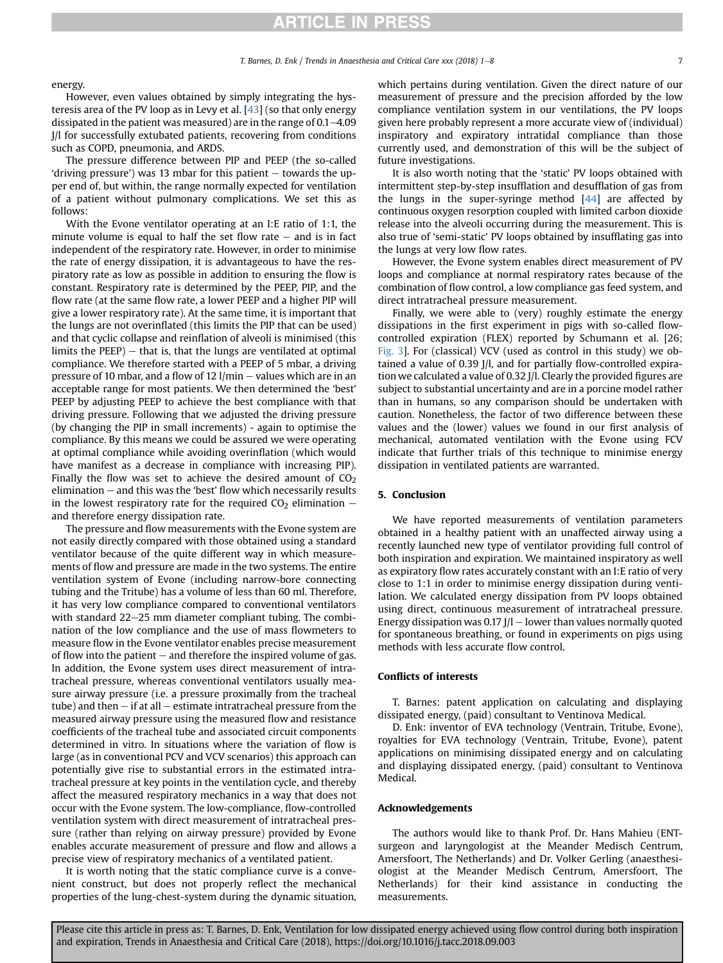energy.

However, even values obtained by simply integrating the hysteresis area of the PV loop as in Levy et al. [\[43\]](#page-7-0) (so that only energy dissipated in the patient was measured) are in the range of  $0.1-4.09$ J/l for successfully extubated patients, recovering from conditions such as COPD, pneumonia, and ARDS.

The pressure difference between PIP and PEEP (the so-called 'driving pressure') was 13 mbar for this patient  $-$  towards the upper end of, but within, the range normally expected for ventilation of a patient without pulmonary complications. We set this as follows:

With the Evone ventilator operating at an I:E ratio of 1:1, the minute volume is equal to half the set flow rate  $-$  and is in fact independent of the respiratory rate. However, in order to minimise the rate of energy dissipation, it is advantageous to have the respiratory rate as low as possible in addition to ensuring the flow is constant. Respiratory rate is determined by the PEEP, PIP, and the flow rate (at the same flow rate, a lower PEEP and a higher PIP will give a lower respiratory rate). At the same time, it is important that the lungs are not overinflated (this limits the PIP that can be used) and that cyclic collapse and reinflation of alveoli is minimised (this limits the  $PEEP$ )  $-$  that is, that the lungs are ventilated at optimal compliance. We therefore started with a PEEP of 5 mbar, a driving pressure of 10 mbar, and a flow of 12 l/min  $-$  values which are in an acceptable range for most patients. We then determined the 'best' PEEP by adjusting PEEP to achieve the best compliance with that driving pressure. Following that we adjusted the driving pressure (by changing the PIP in small increments) - again to optimise the compliance. By this means we could be assured we were operating at optimal compliance while avoiding overinflation (which would have manifest as a decrease in compliance with increasing PIP). Finally the flow was set to achieve the desired amount of  $CO<sub>2</sub>$ elimination  $-$  and this was the 'best' flow which necessarily results in the lowest respiratory rate for the required  $CO<sub>2</sub>$  elimination – and therefore energy dissipation rate.

The pressure and flow measurements with the Evone system are not easily directly compared with those obtained using a standard ventilator because of the quite different way in which measurements of flow and pressure are made in the two systems. The entire ventilation system of Evone (including narrow-bore connecting tubing and the Tritube) has a volume of less than 60 ml. Therefore, it has very low compliance compared to conventional ventilators with standard  $22-25$  mm diameter compliant tubing. The combination of the low compliance and the use of mass flowmeters to measure flow in the Evone ventilator enables precise measurement of flow into the patient  $-$  and therefore the inspired volume of gas. In addition, the Evone system uses direct measurement of intratracheal pressure, whereas conventional ventilators usually measure airway pressure (i.e. a pressure proximally from the tracheal tube) and then  $-$  if at all  $-$  estimate intratracheal pressure from the measured airway pressure using the measured flow and resistance coefficients of the tracheal tube and associated circuit components determined in vitro. In situations where the variation of flow is large (as in conventional PCV and VCV scenarios) this approach can potentially give rise to substantial errors in the estimated intratracheal pressure at key points in the ventilation cycle, and thereby affect the measured respiratory mechanics in a way that does not occur with the Evone system. The low-compliance, flow-controlled ventilation system with direct measurement of intratracheal pressure (rather than relying on airway pressure) provided by Evone enables accurate measurement of pressure and flow and allows a precise view of respiratory mechanics of a ventilated patient.

It is worth noting that the static compliance curve is a convenient construct, but does not properly reflect the mechanical properties of the lung-chest-system during the dynamic situation, which pertains during ventilation. Given the direct nature of our measurement of pressure and the precision afforded by the low compliance ventilation system in our ventilations, the PV loops given here probably represent a more accurate view of (individual) inspiratory and expiratory intratidal compliance than those currently used, and demonstration of this will be the subject of future investigations.

It is also worth noting that the 'static' PV loops obtained with intermittent step-by-step insufflation and desufflation of gas from the lungs in the super-syringe method  $[44]$  are affected by continuous oxygen resorption coupled with limited carbon dioxide release into the alveoli occurring during the measurement. This is also true of 'semi-static' PV loops obtained by insufflating gas into the lungs at very low flow rates.

However, the Evone system enables direct measurement of PV loops and compliance at normal respiratory rates because of the combination of flow control, a low compliance gas feed system, and direct intratracheal pressure measurement.

Finally, we were able to (very) roughly estimate the energy dissipations in the first experiment in pigs with so-called flowcontrolled expiration (FLEX) reported by Schumann et al. [26; [Fig. 3](#page-4-0)]. For (classical) VCV (used as control in this study) we obtained a value of 0.39 J/l, and for partially flow-controlled expiration we calculated a value of 0.32 J/l. Clearly the provided figures are subject to substantial uncertainty and are in a porcine model rather than in humans, so any comparison should be undertaken with caution. Nonetheless, the factor of two difference between these values and the (lower) values we found in our first analysis of mechanical, automated ventilation with the Evone using FCV indicate that further trials of this technique to minimise energy dissipation in ventilated patients are warranted.

#### 5. Conclusion

We have reported measurements of ventilation parameters obtained in a healthy patient with an unaffected airway using a recently launched new type of ventilator providing full control of both inspiration and expiration. We maintained inspiratory as well as expiratory flow rates accurately constant with an I:E ratio of very close to 1:1 in order to minimise energy dissipation during ventilation. We calculated energy dissipation from PV loops obtained using direct, continuous measurement of intratracheal pressure. Energy dissipation was  $0.17$  J/l  $-$  lower than values normally quoted for spontaneous breathing, or found in experiments on pigs using methods with less accurate flow control.

#### Conflicts of interests

T. Barnes: patent application on calculating and displaying dissipated energy, (paid) consultant to Ventinova Medical.

D. Enk: inventor of EVA technology (Ventrain, Tritube, Evone), royalties for EVA technology (Ventrain, Tritube, Evone), patent applications on minimising dissipated energy and on calculating and displaying dissipated energy, (paid) consultant to Ventinova Medical.

#### Acknowledgements

The authors would like to thank Prof. Dr. Hans Mahieu (ENTsurgeon and laryngologist at the Meander Medisch Centrum, Amersfoort, The Netherlands) and Dr. Volker Gerling (anaesthesiologist at the Meander Medisch Centrum, Amersfoort, The Netherlands) for their kind assistance in conducting the measurements.